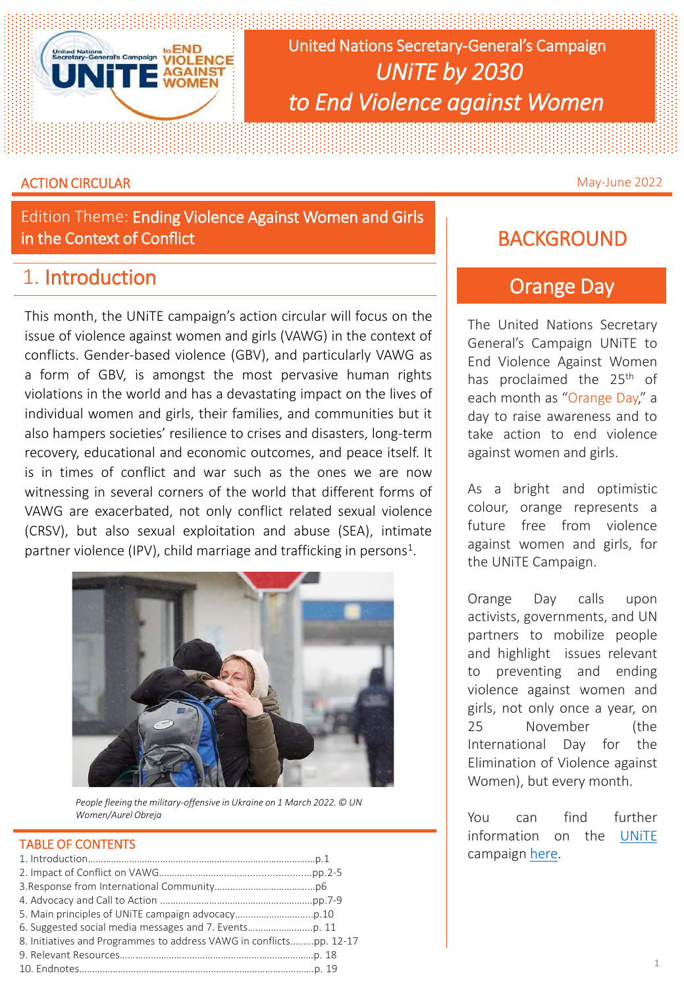

United Nations Secretary-General's Campaign *UNiTE by 2030 to End Violence against Women*

#### **ACTION CIRCULAR** May-June 2022

Edition Theme: Ending Violence Against Women and Girls in the Context of Conflict

# 1. Introduction

This month, the UNiTE campaign's action circular will focus on the issue of violence against women and girls (VAWG) in the context of conflicts. Gender-based violence (GBV), and particularly VAWG as a form of GBV, is amongst the most pervasive human rights violations in the world and has a devastating impact on the lives of individual women and girls, their families, and communities but it also hampers societies' resilience to crises and disasters, long-term recovery, educational and economic outcomes, and peace itself. It is in times of conflict and war such as the ones we are now witnessing in several corners of the world that different forms of VAWG are exacerbated, not only conflict related sexual violence (CRSV), but also sexual exploitation and abuse (SEA), intimate partner violence (IPV), child marriage and trafficking in persons<sup>1</sup>.



*People fleeing the military-offensive in Ukraine on 1 March 2022. © UN Women/Aurel Obreja*

## TABLE OF CONTENTS

| 8. Initiatives and Programmes to address VAWG in conflictspp. 12-17 |  |
|---------------------------------------------------------------------|--|
|                                                                     |  |
|                                                                     |  |

# **BACKGROUND**

# Orange Day

The United Nations Secretary General's Campaign UNiTE to End Violence Against Women has proclaimed the 25<sup>th</sup> of each month as "Orange Day," a day to raise awareness and to take action to end violence against women and girls.

As a bright and optimistic colour, orange represents a future free from violence against women and girls, for the UNiTE Campaign.

Orange Day calls upon activists, governments, and UN partners to mobilize people and highlight issues relevant to preventing and ending violence against women and girls, not only once a year, on 25 November (the International Day for the Elimination of Violence against Women), but every month.

You can find further information on the [UNiTE](https://www.unwomen.org/en/what-we-do/ending-violence-against-women/take-action/unite) campaign [here.](https://www.unwomen.org/en/what-we-do/ending-violence-against-women/take-action/unite)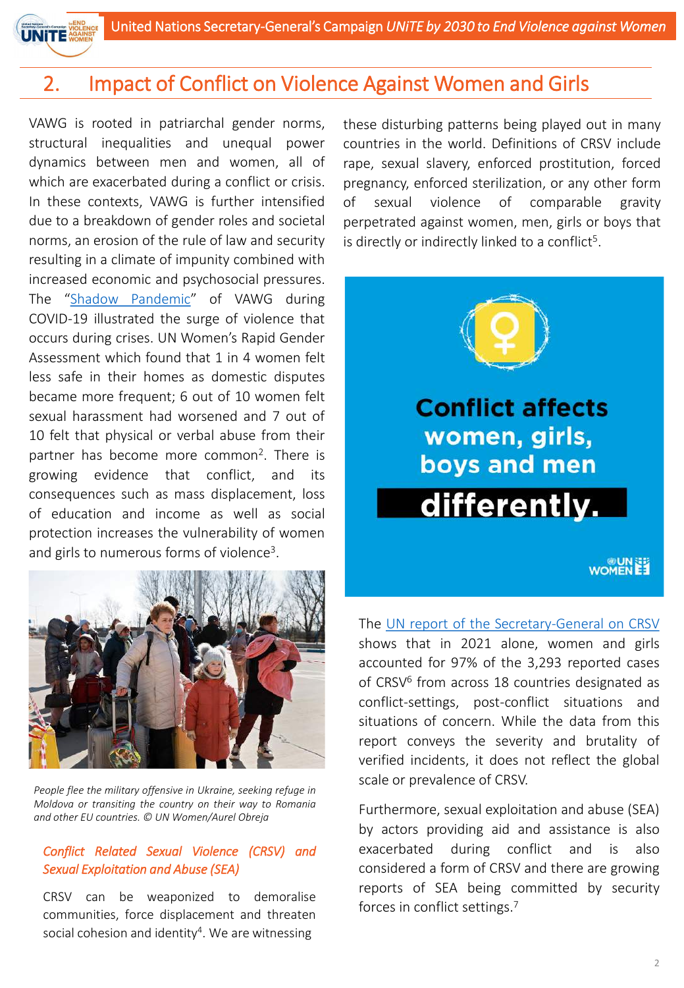

VAWG is rooted in patriarchal gender norms, structural inequalities and unequal power dynamics between men and women, all of which are exacerbated during a conflict or crisis. In these contexts, VAWG is further intensified due to a breakdown of gender roles and societal norms, an erosion of the rule of law and security resulting in a climate of impunity combined with increased economic and psychosocial pressures. The "Shadow [Pandemic](https://www.unwomen.org/en/news/in-focus/in-focus-gender-equality-in-covid-19-response/violence-against-women-during-covid-19)" of VAWG during COVID-19 illustrated the surge of violence that occurs during crises. UN Women's Rapid Gender Assessment which found that 1 in 4 women felt less safe in their homes as domestic disputes became more frequent; 6 out of 10 women felt sexual harassment had worsened and 7 out of 10 felt that physical or verbal abuse from their partner has become more common<sup>2</sup>. There is growing evidence that conflict, and its consequences such as mass displacement, loss of education and income as well as social protection increases the vulnerability of women and girls to numerous forms of violence<sup>3</sup>.



*People flee the military offensive in Ukraine, seeking refuge in Moldova or transiting the country on their way to Romania and other EU countries. © UN Women/Aurel Obreja*

#### *Conflict Related Sexual Violence (CRSV) and Sexual Exploitation and Abuse (SEA)*

CRSV can be weaponized to demoralise communities, force displacement and threaten social cohesion and identity<sup>4</sup>. We are witnessing

these disturbing patterns being played out in many countries in the world. Definitions of CRSV include rape, sexual slavery, enforced prostitution, forced pregnancy, enforced sterilization, or any other form of sexual violence of comparable gravity perpetrated against women, men, girls or boys that is directly or indirectly linked to a conflict<sup>5</sup>.



**Conflict affects** women, girls, boys and men differently.

**WOMENEE** 

The UN report of the [Secretary-General](https://www.un.org/sexualviolenceinconflict/factsheet-2021-report-of-the-secretary-general-on-crsv/) on CRSV shows that in 2021 alone, women and girls accounted for 97% of the 3,293 reported cases of CRSV<sup>6</sup> from across 18 countries designated as conflict-settings, post-conflict situations and situations of concern. While the data from this report conveys the severity and brutality of verified incidents, it does not reflect the global scale or prevalence of CRSV.

Furthermore, sexual exploitation and abuse (SEA) by actors providing aid and assistance is also exacerbated during conflict and is also considered a form of CRSV and there are growing reports of SEA being committed by security forces in conflict settings. 7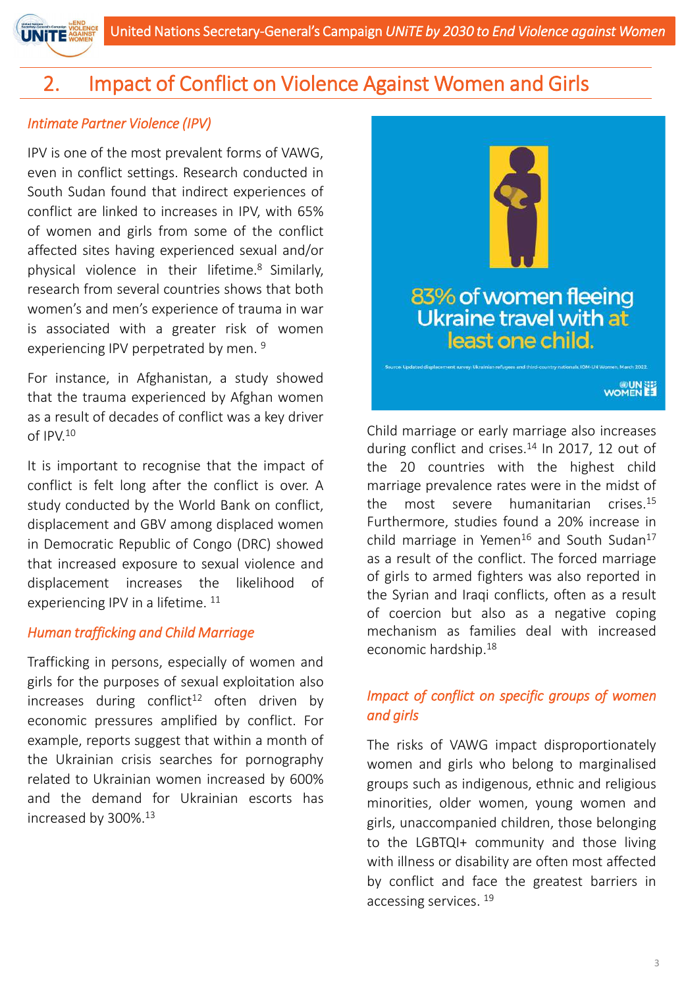## *Intimate Partner Violence (IPV)*

**UNITE** 

IPV is one of the most prevalent forms of VAWG, even in conflict settings. Research conducted in South Sudan found that indirect experiences of conflict are linked to increases in IPV, with 65% of women and girls from some of the conflict affected sites having experienced sexual and/or physical violence in their lifetime. <sup>8</sup> Similarly, research from several countries shows that both women's and men's experience of trauma in war is associated with a greater risk of women experiencing IPV perpetrated by men.<sup>9</sup>

For instance, in Afghanistan, a study showed that the trauma experienced by Afghan women as a result of decades of conflict was a key driver of IPV. 10

It is important to recognise that the impact of conflict is felt long after the conflict is over. A study conducted by the World Bank on conflict, displacement and GBV among displaced women in Democratic Republic of Congo (DRC) showed that increased exposure to sexual violence and displacement increases the likelihood of experiencing IPV in a lifetime. <sup>11</sup>

## *Human trafficking and Child Marriage*

Trafficking in persons, especially of women and girls for the purposes of sexual exploitation also increases during conflict<sup>12</sup> often driven by economic pressures amplified by conflict. For example, reports suggest that within a month of the Ukrainian crisis searches for pornography related to Ukrainian women increased by 600% and the demand for Ukrainian escorts has increased by 300%. 13



Child marriage or early marriage also increases during conflict and crises.<sup>14</sup> In 2017, 12 out of the 20 countries with the highest child marriage prevalence rates were in the midst of the most severe humanitarian crises. 15 Furthermore, studies found a 20% increase in child marriage in Yemen<sup>16</sup> and South Sudan<sup>17</sup> as a result of the conflict. The forced marriage of girls to armed fighters was also reported in the Syrian and Iraqi conflicts, often as a result of coercion but also as a negative coping mechanism as families deal with increased economic hardship. 18

## *Impact of conflict on specific groups of women and girls*

The risks of VAWG impact disproportionately women and girls who belong to marginalised groups such as indigenous, ethnic and religious minorities, older women, young women and girls, unaccompanied children, those belonging to the LGBTQI+ community and those living with illness or disability are often most affected by conflict and face the greatest barriers in accessing services. 19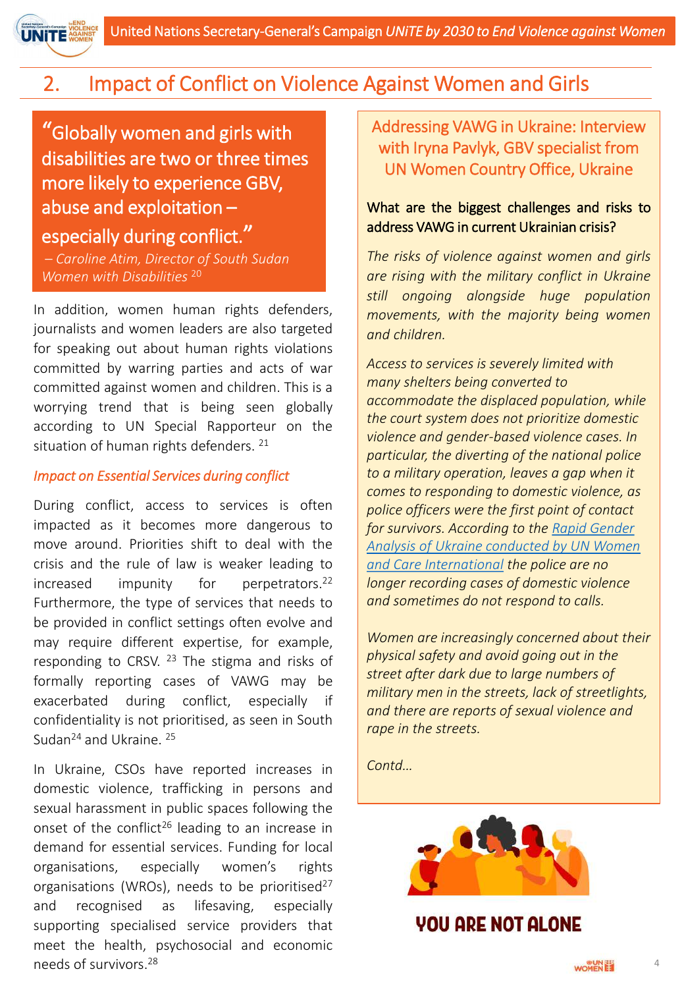

"Globally women and girls with disabilities are two or three times more likely to experience GBV, abuse and exploitation –

## especially during conflict."

– *Caroline Atim, Director of South Sudan Women with Disabilities* <sup>20</sup>

In addition, women human rights defenders, journalists and women leaders are also targeted for speaking out about human rights violations committed by warring parties and acts of war committed against women and children. This is a worrying trend that is being seen globally according to UN Special Rapporteur on the situation of human rights defenders. 21

#### *Impact on Essential Services during conflict*

During conflict, access to services is often impacted as it becomes more dangerous to move around. Priorities shift to deal with the crisis and the rule of law is weaker leading to increased impunity for perpetrators.<sup>22</sup> Furthermore, the type of services that needs to be provided in conflict settings often evolve and may require different expertise, for example, responding to CRSV. <sup>23</sup> The stigma and risks of formally reporting cases of VAWG may be exacerbated during conflict, especially if confidentiality is not prioritised, as seen in South Sudan<sup>24</sup> and Ukraine. <sup>25</sup>

In Ukraine, CSOs have reported increases in domestic violence, trafficking in persons and sexual harassment in public spaces following the onset of the conflict<sup>26</sup> leading to an increase in demand for essential services. Funding for local organisations, especially women's rights organisations (WROs), needs to be prioritised<sup>27</sup> and recognised as lifesaving, especially supporting specialised service providers that meet the health, psychosocial and economic needs of survivors. 28

Addressing VAWG in Ukraine: Interview with Iryna Pavlyk, GBV specialist from UN Women Country Office, Ukraine

## What are the biggest challenges and risks to address VAWG in current Ukrainian crisis?

*The risks of violence against women and girls are rising with the military conflict in Ukraine still ongoing alongside huge population movements, with the majority being women and children.*

*Access to services is severely limited with many shelters being converted to accommodate the displaced population, while the court system does not prioritize domestic violence and gender-based violence cases. In particular, the diverting of the national police to a military operation, leaves a gap when it comes to responding to domestic violence, as police officers were the first point of contact for survivors. According to the Rapid Gender [Analysis of Ukraine conducted by UN Women](https://www.unwomen.org/en/digital-library/publications/2022/04/rapid-gender-analysis-of-ukraine-secondary-data-review)  and Care International the police are no longer recording cases of domestic violence and sometimes do not respond to calls.*

*Women are increasingly concerned about their physical safety and avoid going out in the street after dark due to large numbers of military men in the streets, lack of streetlights, and there are reports of sexual violence and rape in the streets.*

*Contd…*



*VOU ARE NOT ALONE*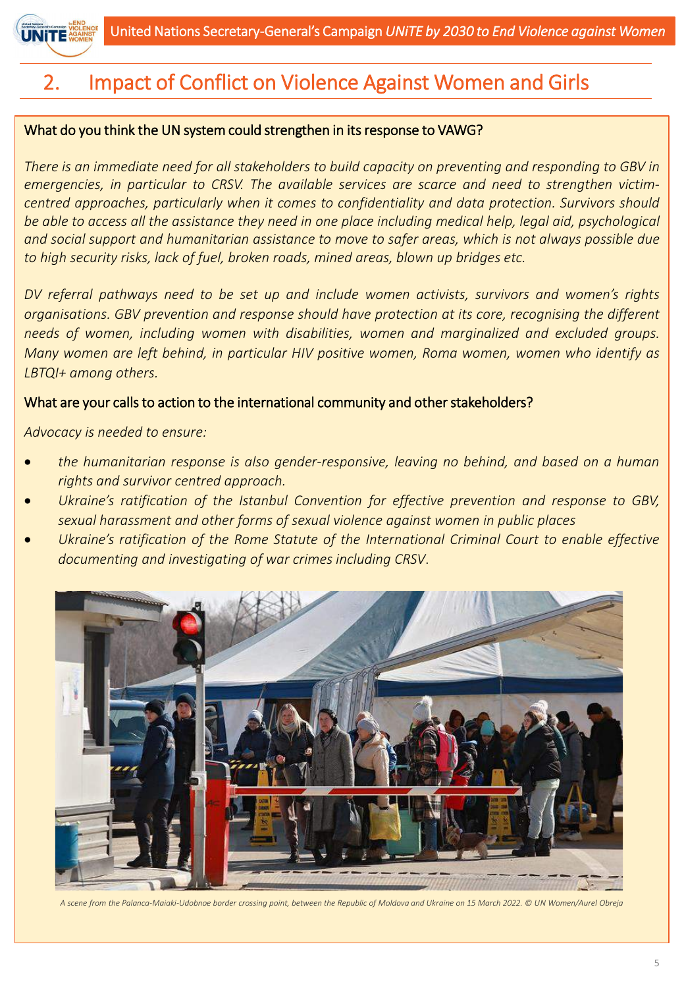

#### What do you think the UN system could strengthen in its response to VAWG?

There is an immediate need for all stakeholders to build capacity on preventing and responding to GBV in *emergencies, in particular to CRSV. The available services are scarce and need to strengthen victimcentred approaches, particularly when it comes to confidentiality and data protection. Survivors should* be able to access all the assistance they need in one place including medical help, legal aid, psychological *and social support and humanitarian assistance to move to safer areas, which is not always possible due to high security risks, lack of fuel, broken roads, mined areas, blown up bridges etc.*

*DV referral pathways need to be set up and include women activists, survivors and women's rights organisations. GBV prevention and response should have protection at its core, recognising the different needs of women, including women with disabilities, women and marginalized and excluded groups. Many women are left behind, in particular HIV positive women, Roma women, women who identify as LBTQI+ among others.*

#### What are your calls to action to the international community and other stakeholders?

*Advocacy is needed to ensure:*

- *the humanitarian response is also gender-responsive, leaving no behind, and based on a human rights and survivor centred approach.*
- *Ukraine's ratification of the Istanbul Convention for effective prevention and response to GBV, sexual harassment and other forms of sexual violence against women in public places*
- *Ukraine's ratification of the Rome Statute of the International Criminal Court to enable effective documenting and investigating of war crimes including CRSV*.



*A scene from the Palanca-Maiaki-Udobnoe border crossing point, between the Republic of Moldova and Ukraine on 15 March 2022. © UN Women/Aurel Obreja*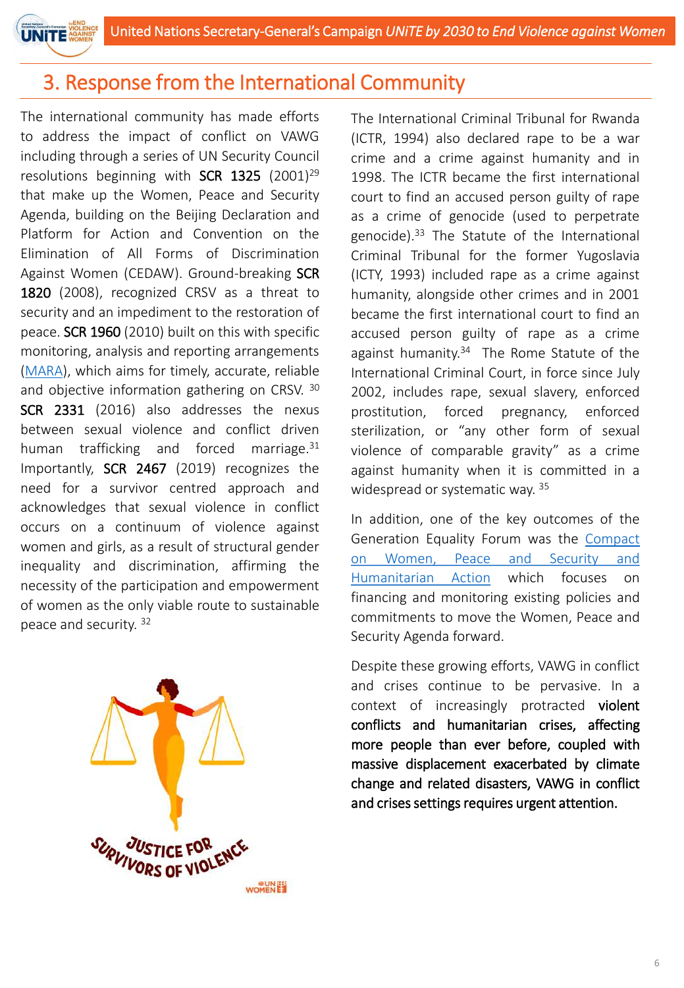

# 3. Response from the International Community

The international community has made efforts to address the impact of conflict on VAWG including through a series of UN Security Council resolutions beginning with SCR 1325  $(2001)^{29}$ that make up the Women, Peace and Security Agenda, building on the Beijing Declaration and Platform for Action and Convention on the Elimination of All Forms of Discrimination Against Women (CEDAW). Ground-breaking SCR 1820 (2008), recognized CRSV as a threat to security and an impediment to the restoration of peace. SCR 1960 (2010) built on this with specific monitoring, analysis and reporting arrangements ([MARA\)](https://www.un.org/sexualviolenceinconflict/tools-for-action/mara/), which aims for timely, accurate, reliable and objective information gathering on CRSV. <sup>30</sup> SCR 2331 (2016) also addresses the nexus between sexual violence and conflict driven human trafficking and forced marriage.<sup>31</sup> Importantly, SCR 2467 (2019) recognizes the need for a survivor centred approach and acknowledges that sexual violence in conflict occurs on a continuum of violence against women and girls, as a result of structural gender inequality and discrimination, affirming the necessity of the participation and empowerment of women as the only viable route to sustainable peace and security. 32



The International Criminal Tribunal for Rwanda (ICTR, 1994) also declared rape to be a war crime and a crime against humanity and in 1998. The ICTR became the first international court to find an accused person guilty of rape as a crime of genocide (used to perpetrate genocide). <sup>33</sup> The Statute of the International Criminal Tribunal for the former Yugoslavia (ICTY, 1993) included rape as a crime against humanity, alongside other crimes and in 2001 became the first international court to find an accused person guilty of rape as a crime against humanity. <sup>34</sup> The Rome Statute of the International Criminal Court, in force since July 2002, includes rape, sexual slavery, enforced prostitution, forced pregnancy, enforced sterilization, or "any other form of sexual violence of comparable gravity" as a crime against humanity when it is committed in a widespread or systematic way. 35

In addition, one of the key outcomes of the Generation Equality Forum was the Compact on Women, Peace and Security and [Humanitarian](https://forum.generationequality.org/sites/default/files/2020-06/GENERATION_EQUALITY_COMPACT_WPSHA_Concept_Note.pdf) Action which focuses on financing and monitoring existing policies and commitments to move the Women, Peace and Security Agenda forward.

Despite these growing efforts, VAWG in conflict and crises continue to be pervasive. In a context of increasingly protracted violent conflicts and humanitarian crises, affecting more people than ever before, coupled with massive displacement exacerbated by climate change and related disasters, VAWG in conflict and crises settings requires urgent attention.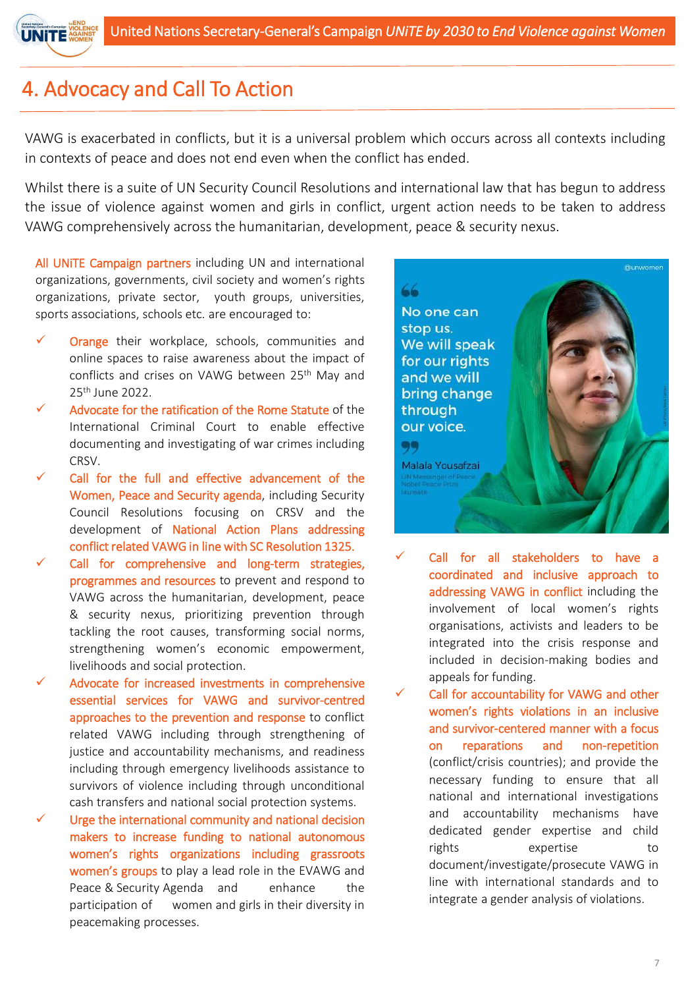

# 4. Advocacy and Call To Action

VAWG is exacerbated in conflicts, but it is a universal problem which occurs across all contexts including in contexts of peace and does not end even when the conflict has ended.

Whilst there is a suite of UN Security Council Resolutions and international law that has begun to address the issue of violence against women and girls in conflict, urgent action needs to be taken to address VAWG comprehensively across the humanitarian, development, peace & security nexus.

All UNiTE Campaign partners including UN and international organizations, governments, civil society and women's rights organizations, private sector, youth groups, universities, sports associations, schools etc. are encouraged to:

- Orange their workplace, schools, communities and online spaces to raise awareness about the impact of conflicts and crises on VAWG between 25<sup>th</sup> May and 25th June 2022.
- Advocate for the ratification of the Rome Statute of the International Criminal Court to enable effective documenting and investigating of war crimes including CRSV.
- Call for the full and effective advancement of the Women, Peace and Security agenda, including Security Council Resolutions focusing on CRSV and the development of National Action Plans addressing conflict related VAWG in line with SC Resolution 1325.
- Call for comprehensive and long-term strategies, programmes and resources to prevent and respond to VAWG across the humanitarian, development, peace & security nexus, prioritizing prevention through tackling the root causes, transforming social norms, strengthening women's economic empowerment, livelihoods and social protection.
- Advocate for increased investments in comprehensive essential services for VAWG and survivor-centred approaches to the prevention and response to conflict related VAWG including through strengthening of justice and accountability mechanisms, and readiness including through emergency livelihoods assistance to survivors of violence including through unconditional cash transfers and national social protection systems.
- Urge the international community and national decision makers to increase funding to national autonomous women's rights organizations including grassroots women's groups to play a lead role in the EVAWG and Peace & Security Agenda and enhance the participation of women and girls in their diversity in peacemaking processes.

66 No one can stop us. We will speak for our rights and we will bring change through our voice. 99 Malala Yousafzai

Call for all stakeholders to have a coordinated and inclusive approach to addressing VAWG in conflict including the involvement of local women's rights organisations, activists and leaders to be integrated into the crisis response and included in decision-making bodies and appeals for funding.

Call for accountability for VAWG and other women's rights violations in an inclusive and survivor-centered manner with a focus on reparations and non-repetition (conflict/crisis countries); and provide the necessary funding to ensure that all national and international investigations and accountability mechanisms have dedicated gender expertise and child rights expertise to document/investigate/prosecute VAWG in line with international standards and to integrate a gender analysis of violations.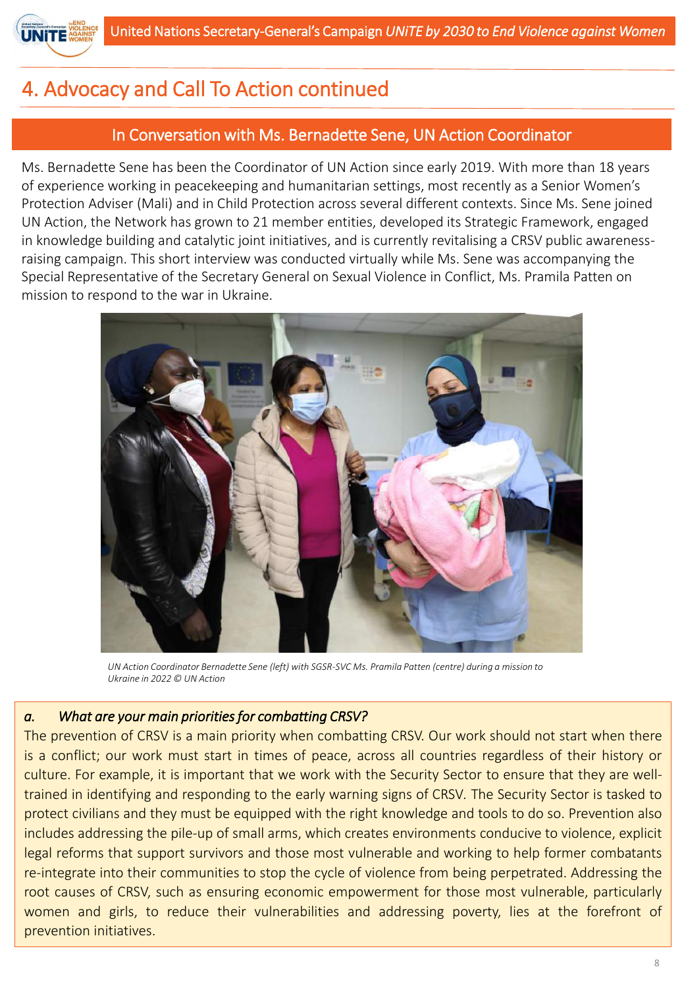

# 4. Advocacy and Call To Action continued

## In Conversation with Ms. Bernadette Sene, UN Action Coordinator

Ms. Bernadette Sene has been the Coordinator of UN Action since early 2019. With more than 18 years of experience working in peacekeeping and humanitarian settings, most recently as a Senior Women's Protection Adviser (Mali) and in Child Protection across several different contexts. Since Ms. Sene joined UN Action, the Network has grown to 21 member entities, developed its Strategic Framework, engaged in knowledge building and catalytic joint initiatives, and is currently revitalising a CRSV public awarenessraising campaign. This short interview was conducted virtually while Ms. Sene was accompanying the Special Representative of the Secretary General on Sexual Violence in Conflict, Ms. Pramila Patten on mission to respond to the war in Ukraine.



*UN Action Coordinator Bernadette Sene (left) with SGSR-SVC Ms. Pramila Patten (centre) during a mission to Ukraine in 2022 © UN Action*

## *a. What are your main prioritiesfor combatting CRSV?*

The prevention of CRSV is a main priority when combatting CRSV. Our work should not start when there is a conflict; our work must start in times of peace, across all countries regardless of their history or culture. For example, it is important that we work with the Security Sector to ensure that they are welltrained in identifying and responding to the early warning signs of CRSV*.* The Security Sector is tasked to protect civilians and they must be equipped with the right knowledge and tools to do so. Prevention also includes addressing the pile-up of small arms, which creates environments conducive to violence, explicit legal reforms that support survivors and those most vulnerable and working to help former combatants re-integrate into their communities to stop the cycle of violence from being perpetrated. Addressing the root causes of CRSV, such as ensuring economic empowerment for those most vulnerable, particularly women and girls, to reduce their vulnerabilities and addressing poverty, lies at the forefront of prevention initiatives.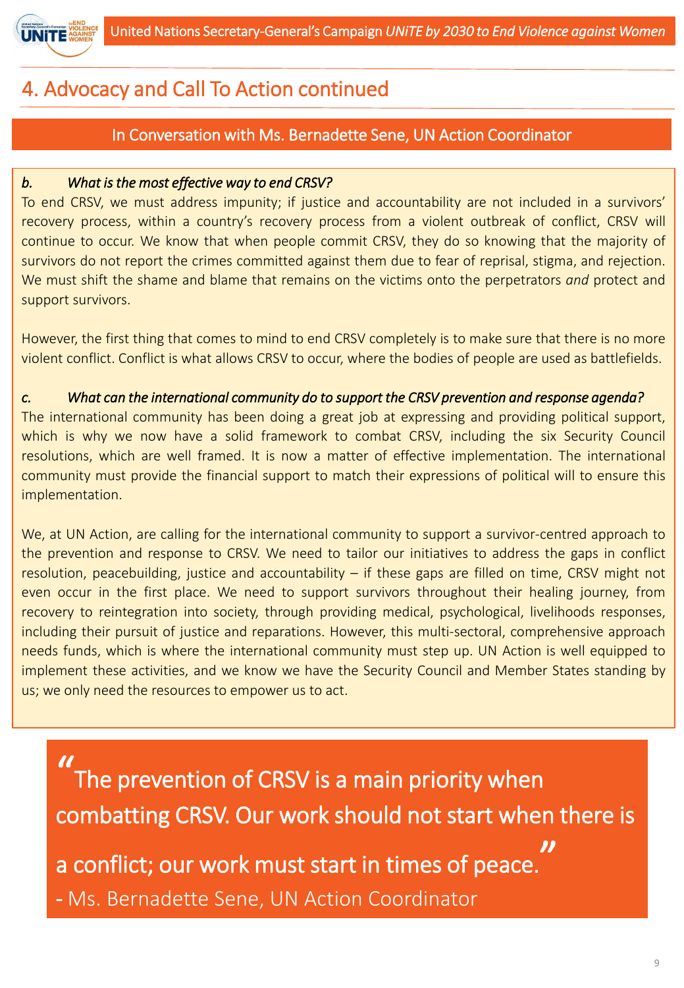

# 4. Advocacy and Call To Action continued

## In Conversation with Ms. Bernadette Sene, UN Action Coordinator

## *b. What isthe most effective way to end CRSV?*

To end CRSV, we must address impunity; if justice and accountability are not included in a survivors' recovery process, within a country's recovery process from a violent outbreak of conflict, CRSV will continue to occur. We know that when people commit CRSV, they do so knowing that the majority of survivors do not report the crimes committed against them due to fear of reprisal, stigma, and rejection. We must shift the shame and blame that remains on the victims onto the perpetrators *and* protect and support survivors.

However, the first thing that comes to mind to end CRSV completely is to make sure that there is no more violent conflict. Conflict is what allows CRSV to occur, where the bodies of people are used as battlefields.

## *c. What can the international community do to support the CRSV prevention and response agenda?*

The international community has been doing a great job at expressing and providing political support, which is why we now have a solid framework to combat CRSV, including the six Security Council resolutions, which are well framed. It is now a matter of effective implementation. The international community must provide the financial support to match their expressions of political will to ensure this implementation.

We, at UN Action, are calling for the international community to support a survivor-centred approach to the prevention and response to CRSV. We need to tailor our initiatives to address the gaps in conflict resolution, peacebuilding, justice and accountability – if these gaps are filled on time, CRSV might not even occur in the first place. We need to support survivors throughout their healing journey, from recovery to reintegration into society, through providing medical, psychological, livelihoods responses, including their pursuit of justice and reparations. However, this multi-sectoral, comprehensive approach needs funds, which is where the international community must step up. UN Action is well equipped to implement these activities, and we know we have the Security Council and Member States standing by us; we only need the resources to empower us to act.

 $\boldsymbol{\mathcal{U}}$ The prevention of CRSV is a main priority when combatting CRSV. Our work should not start when there is a conflict; our work must start in times of peace. " - Ms. Bernadette Sene, UN Action Coordinator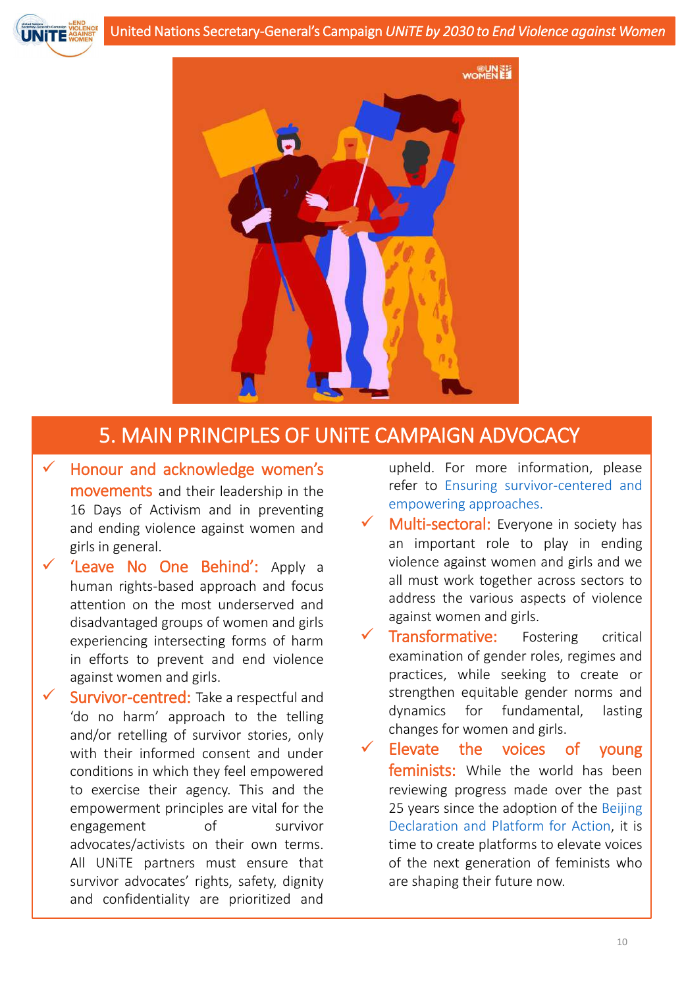



# 5. MAIN PRINCIPLES OF UNiTE CAMPAIGN ADVOCACY

- Honour and acknowledge women's movements and their leadership in the 16 Days of Activism and in preventing and ending violence against women and girls in general.
- ✓ 'Leave No One Behind': Apply a human rights-based approach and focus attention on the most underserved and disadvantaged groups of women and girls experiencing intersecting forms of harm in efforts to prevent and end violence against women and girls.
- Survivor-centred: Take a respectful and 'do no harm' approach to the telling and/or retelling of survivor stories, only with their informed consent and under conditions in which they feel empowered to exercise their agency. This and the empowerment principles are vital for the engagement of survivor advocates/activists on their own terms. All UNiTE partners must ensure that survivor advocates' rights, safety, dignity and confidentiality are prioritized and

upheld. For more information, please refer to Ensuring survivor-centered and empowering approaches.

- Multi-sectoral: Everyone in society has an important role to play in ending violence against women and girls and we all must work together across sectors to address the various aspects of violence against women and girls.
- Transformative: Fostering critical examination of gender roles, regimes and practices, while seeking to create or strengthen equitable gender norms and dynamics for fundamental, lasting changes for women and girls.
- Elevate the voices of young feminists: While the world has been reviewing progress made over the past 25 years since the adoption of the Beijing Declaration and Platform for Action, it is time to create platforms to elevate voices of the next generation of feminists who are shaping their future now.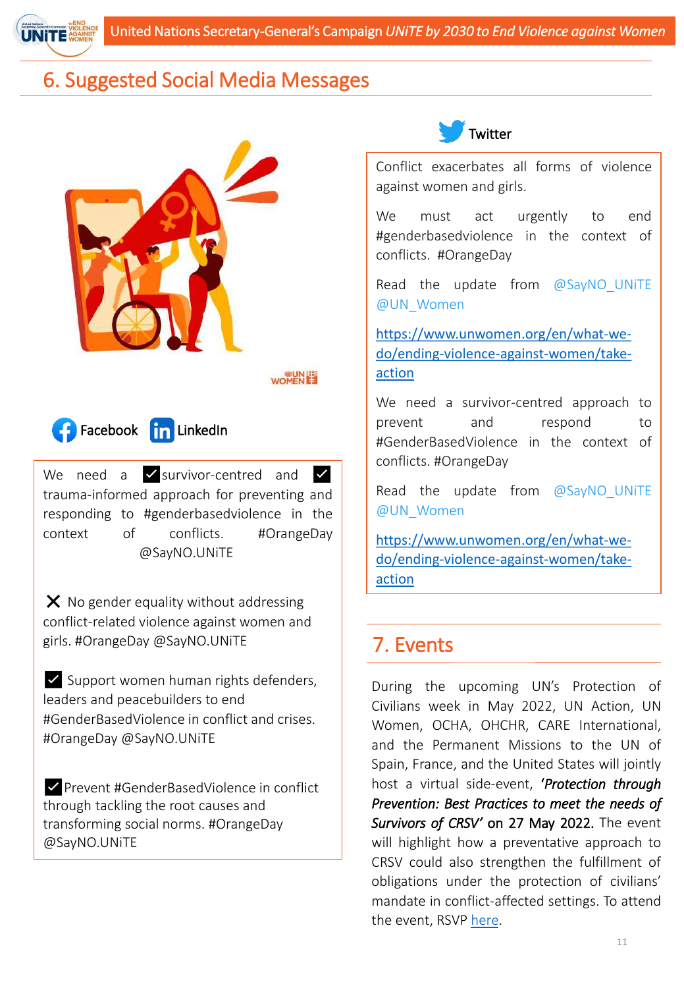

# 6. Suggested Social Media Messages





We need a **V** survivor-centred and **V** trauma-informed approach for preventing and responding to #genderbasedviolence in the context of conflicts. #OrangeDay @SayNO.UNiTE

 $\times$  No gender equality without addressing conflict-related violence against women and girls. #OrangeDay @SayNO.UNiTE

✅Support women human rights defenders, leaders and peacebuilders to end #GenderBasedViolence in conflict and crises. #OrangeDay @SayNO.UNiTE

✅Prevent #GenderBasedViolence in conflict through tackling the root causes and transforming social norms. #OrangeDay @SayNO.UNiTE



Conflict exacerbates all forms of violence against women and girls.

We must act urgently to end #genderbasedviolence in the context of conflicts. #OrangeDay

Read the update from  $@SayNO$  UNITE @UN\_Women

https://www.unwomen.org/en/what-we[do/ending-violence-against-women/take](https://www.unwomen.org/en/what-we-do/ending-violence-against-women/take-action)action

We need a survivor-centred approach to prevent and respond to #GenderBasedViolence in the context of conflicts. #OrangeDay

Read the update from  $@SayNO$  UNITE @UN\_Women

https://www.unwomen.org/en/what-we[do/ending-violence-against-women/take](https://www.unwomen.org/en/what-we-do/ending-violence-against-women/take-action)action

# 7. Events

During the upcoming UN's Protection of Civilians week in May 2022, UN Action, UN Women, OCHA, OHCHR, CARE International, and the Permanent Missions to the UN of Spain, France, and the United States will jointly host a virtual side-event, '*Protection through Prevention: Best Practices to meet the needs of Survivors of CRSV'* on 27 May 2022. The event will highlight how a preventative approach to CRSV could also strengthen the fulfillment of obligations under the protection of civilians' mandate in conflict-affected settings. To attend the event, RSVP [here.](https://forms.office.com/pages/responsepage.aspx?id=2zWeD09UYE-9zF6kFubccDe6KaqqQs5JgstwenhScrFUOTA1MEQyNFY5WTZCT1MxR0FOSVJCSUtCNi4u)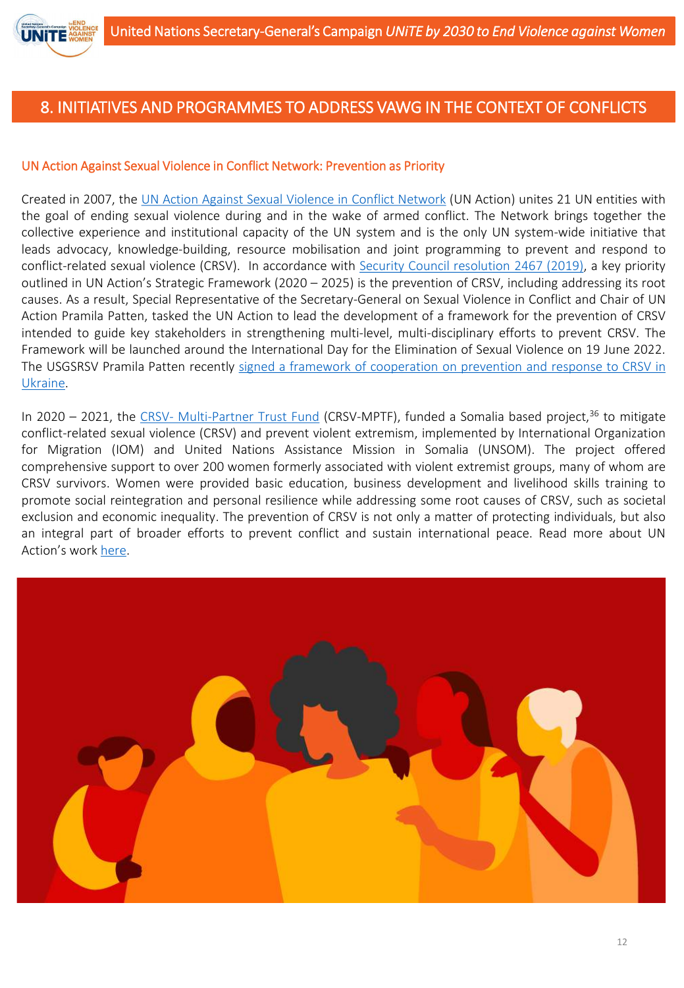

#### UN Action Against Sexual Violence in Conflict Network: Prevention as Priority

Created in 2007, the UN Action Against Sexual [Violence](https://www.stoprapenow.org/about/) in Conflict Network (UN Action) unites 21 UN entities with the goal of ending sexual violence during and in the wake of armed conflict. The Network brings together the collective experience and institutional capacity of the UN system and is the only UN system-wide initiative that leads advocacy, knowledge-building, resource mobilisation and joint programming to prevent and respond to conflict-related sexual violence (CRSV). In accordance with Security Council [resolution](https://undocs.org/Home/Mobile?FinalSymbol=S%2FRES%2F2467(2019)&Language=E&DeviceType=Desktop&LangRequested=False) 2467 (2019), a key priority outlined in UN Action's Strategic Framework (2020 – 2025) is the prevention of CRSV, including addressing its root causes. As a result, Special Representative of the Secretary-General on Sexual Violence in Conflict and Chair of UN Action Pramila Patten, tasked the UN Action to lead the development of a framework for the prevention of CRSV intended to guide key stakeholders in strengthening multi-level, multi-disciplinary efforts to prevent CRSV. The Framework will be launched around the International Day for the Elimination of Sexual Violence on 19 June 2022. The USGSRSV Pramila Patten recently signed a framework of [cooperation](https://news.un.org/en/story/2022/05/1117442) on prevention and response to CRSV in Ukraine.

In 2020 – 2021, the CRSV- [Multi-Partner](https://mptf.undp.org/factsheet/fund/CSV00) Trust Fund (CRSV-MPTF), funded a Somalia based project,<sup>36</sup> to mitigate conflict-related sexual violence (CRSV) and prevent violent extremism, implemented by International Organization for Migration (IOM) and United Nations Assistance Mission in Somalia (UNSOM). The project offered comprehensive support to over 200 women formerly associated with violent extremist groups, many of whom are CRSV survivors. Women were provided basic education, business development and livelihood skills training to promote social reintegration and personal resilience while addressing some root causes of CRSV, such as societal exclusion and economic inequality. The prevention of CRSV is not only a matter of protecting individuals, but also an integral part of broader efforts to prevent conflict and sustain international peace. Read more about UN Action's work [here.](https://www.stoprapenow.org/digital-library/)

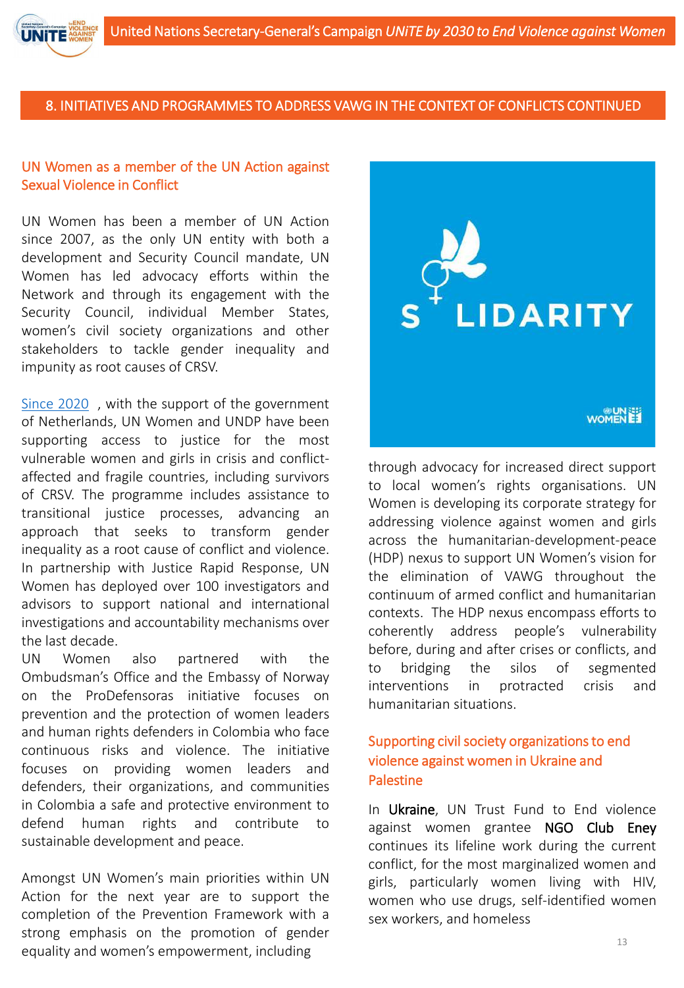

#### UN Women as a member of the UN Action against Sexual Violence in Conflict

UN Women has been a member of UN Action since 2007, as the only UN entity with both a development and Security Council mandate, UN Women has led advocacy efforts within the Network and through its engagement with the Security Council, individual Member States, women's civil society organizations and other stakeholders to tackle gender inequality and impunity as root causes of CRSV.

Since 2020 , with the support of the government of Netherlands, UN Women and UNDP have been supporting access to justice for the most vulnerable women and girls in crisis and conflictaffected and fragile countries, including survivors of CRSV. The programme includes assistance to transitional justice processes, advancing an approach that seeks to transform gender inequality as a root cause of conflict and violence. In partnership with Justice Rapid Response, UN Women has deployed over 100 investigators and advisors to support national and international investigations and accountability mechanisms over the last decade.

UN Women also partnered with the Ombudsman's Office and the Embassy of Norway on the ProDefensoras initiative focuses on prevention and the protection of women leaders and human rights defenders in Colombia who face continuous risks and violence. The initiative focuses on providing women leaders and defenders, their organizations, and communities in Colombia a safe and protective environment to defend human rights and contribute to sustainable development and peace.

Amongst UN Women's main priorities within UN Action for the next year are to support the completion of the Prevention Framework with a strong emphasis on the promotion of gender equality and women's empowerment, including



through advocacy for increased direct support to local women's rights organisations. UN Women is developing its corporate strategy for addressing violence against women and girls across the humanitarian-development-peace (HDP) nexus to support UN Women's vision for the elimination of VAWG throughout the continuum of armed conflict and humanitarian contexts. The HDP nexus encompass efforts to coherently address people's vulnerability before, during and after crises or conflicts, and to bridging the silos of segmented interventions in protracted crisis and humanitarian situations.

## Supporting civil society organizations to end violence against women in Ukraine and **Palestine**

In Ukraine, UN Trust Fund to End violence against women grantee NGO Club Eney continues its lifeline work during the current conflict, for the most marginalized women and girls, particularly women living with HIV, women who use drugs, self-identified women sex workers, and homeless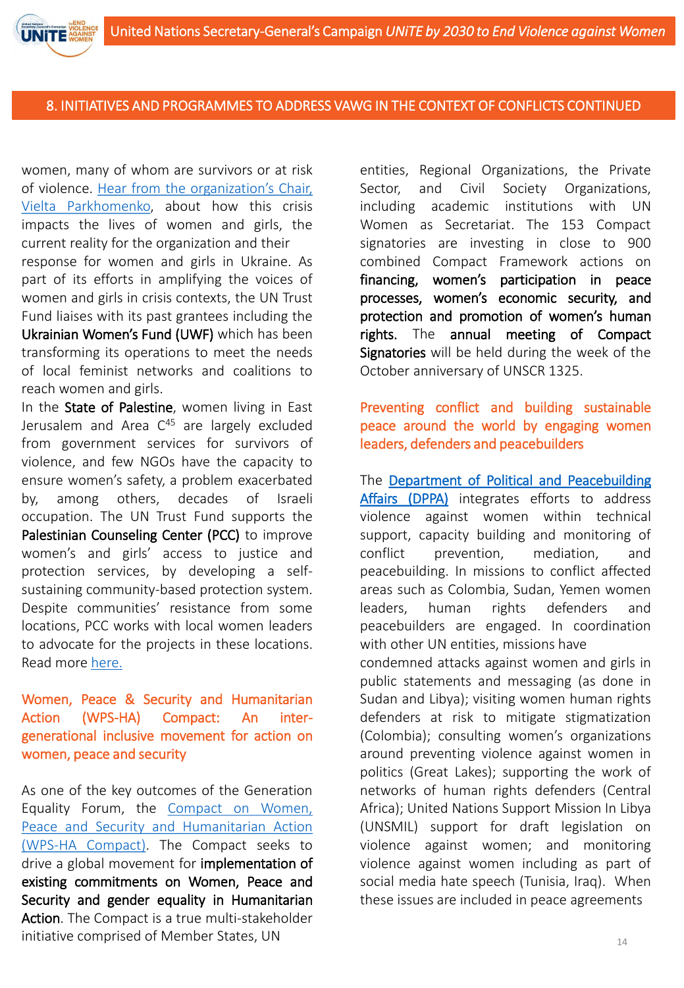women, many of whom are survivors or at risk of violence. Hear from the organization's Chair, Vielta [Parkhomenko,](https://youtu.be/cCHAcOmiZAc) about how this crisis impacts the lives of women and girls, the current reality for the organization and their

response for women and girls in Ukraine. As part of its efforts in amplifying the voices of women and girls in crisis contexts, the UN Trust Fund liaises with its past grantees including the Ukrainian Women's Fund (UWF) which has been transforming its operations to meet the needs of local feminist networks and coalitions to reach women and girls.

In the State of Palestine, women living in East Jerusalem and Area C<sup>45</sup> are largely excluded from government services for survivors of violence, and few NGOs have the capacity to ensure women's safety, a problem exacerbated by, among others, decades of Israeli occupation. The UN Trust Fund supports the Palestinian Counseling Center (PCC) to improve women's and girls' access to justice and protection services, by developing a selfsustaining community-based protection system. Despite communities' resistance from some locations, PCC works with local women leaders to advocate for the projects in these locations. Read more [here.](https://untf.unwomen.org/en/stories/news/2022/04/state-of-palestine-improving-womens-and-girls-access-to-services)

## Women, Peace & Security and Humanitarian Action (WPS-HA) Compact: An intergenerational inclusive movement for action on women, peace and security

As one of the key outcomes of the Generation Equality Forum, the Compact on Women, Peace and Security and [Humanitarian](https://wpshacompact.org/) Action (WPS-HA Compact). The Compact seeks to drive a global movement for implementation of existing commitments on Women, Peace and Security and gender equality in Humanitarian Action. The Compact is a true multi-stakeholder initiative comprised of Member States, UN

entities, Regional Organizations, the Private Sector, and Civil Society Organizations, including academic institutions with UN Women as Secretariat. The 153 Compact signatories are investing in close to 900 combined Compact Framework actions on financing, women's participation in peace processes, women's economic security, and protection and promotion of women's human rights. The annual meeting of Compact Signatories will be held during the week of the October anniversary of UNSCR 1325.

## Preventing conflict and building sustainable peace around the world by engaging women leaders, defenders and peacebuilders

The Department of Political and [Peacebuilding](https://dppa.un.org/en) Affairs (DPPA) integrates efforts to address violence against women within technical support, capacity building and monitoring of conflict prevention, mediation, and peacebuilding. In missions to conflict affected areas such as Colombia, Sudan, Yemen women leaders, human rights defenders and peacebuilders are engaged. In coordination with other UN entities, missions have

condemned attacks against women and girls in public statements and messaging (as done in Sudan and Libya); visiting women human rights defenders at risk to mitigate stigmatization (Colombia); consulting women's organizations around preventing violence against women in politics (Great Lakes); supporting the work of networks of human rights defenders (Central Africa); United Nations Support Mission In Libya (UNSMIL) support for draft legislation on violence against women; and monitoring violence against women including as part of social media hate speech (Tunisia, Iraq). When these issues are included in peace agreements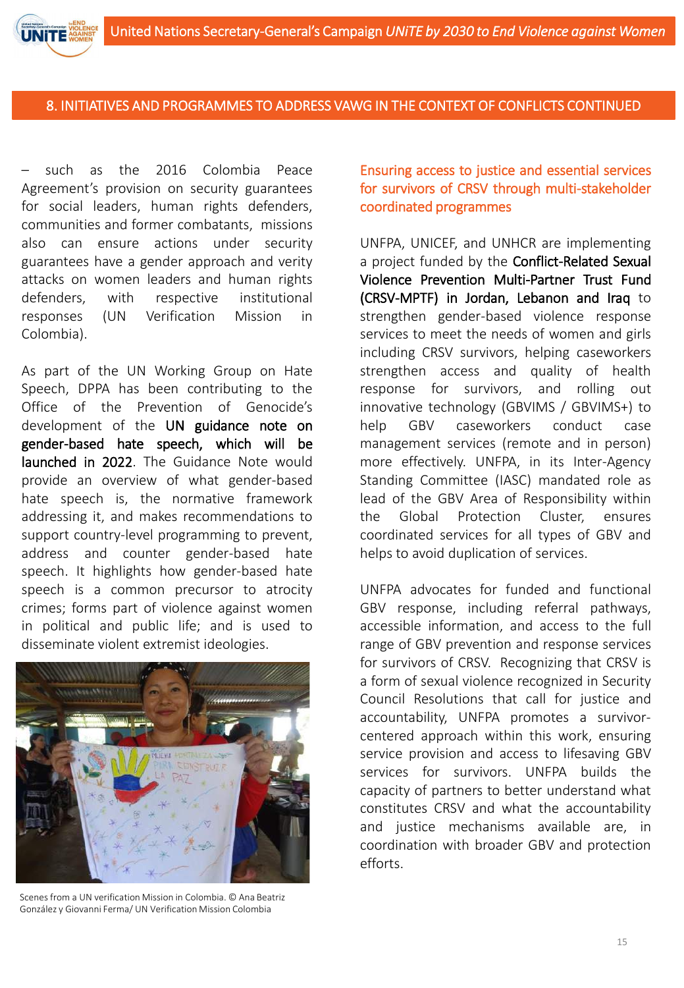– such as the 2016 Colombia Peace Agreement's provision on security guarantees for social leaders, human rights defenders, communities and former combatants, missions also can ensure actions under security guarantees have a gender approach and verity attacks on women leaders and human rights defenders, with respective institutional responses (UN Verification Mission in Colombia).

As part of the UN Working Group on Hate Speech, DPPA has been contributing to the Office of the Prevention of Genocide's development of the UN guidance note on gender-based hate speech, which will be launched in 2022. The Guidance Note would provide an overview of what gender-based hate speech is, the normative framework addressing it, and makes recommendations to support country-level programming to prevent, address and counter gender-based hate speech. It highlights how gender-based hate speech is a common precursor to atrocity crimes; forms part of violence against women in political and public life; and is used to disseminate violent extremist ideologies.



Scenes from a UN verification Mission in Colombia. © Ana Beatriz González y Giovanni Ferma/ UN Verification Mission Colombia

Ensuring access to justice and essential services for survivors of CRSV through multi-stakeholder coordinated programmes

UNFPA, UNICEF, and UNHCR are implementing a project funded by the Conflict-Related Sexual Violence Prevention Multi-Partner Trust Fund (CRSV-MPTF) in Jordan, Lebanon and Iraq to strengthen gender-based violence response services to meet the needs of women and girls including CRSV survivors, helping caseworkers strengthen access and quality of health response for survivors, and rolling out innovative technology (GBVIMS / GBVIMS+) to help GBV caseworkers conduct case management services (remote and in person) more effectively. UNFPA, in its Inter-Agency Standing Committee (IASC) mandated role as lead of the GBV Area of Responsibility within the Global Protection Cluster, ensures coordinated services for all types of GBV and helps to avoid duplication of services.

UNFPA advocates for funded and functional GBV response, including referral pathways, accessible information, and access to the full range of GBV prevention and response services for survivors of CRSV. Recognizing that CRSV is a form of sexual violence recognized in Security Council Resolutions that call for justice and accountability, UNFPA promotes a survivorcentered approach within this work, ensuring service provision and access to lifesaving GBV services for survivors. UNFPA builds the capacity of partners to better understand what constitutes CRSV and what the accountability and justice mechanisms available are, in coordination with broader GBV and protection efforts.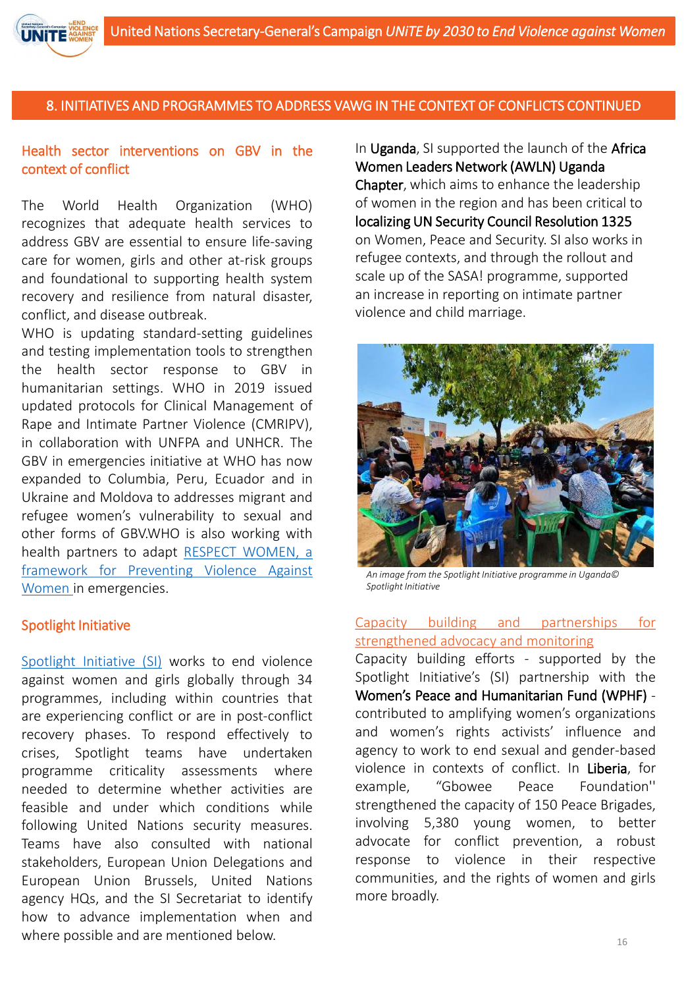## Health sector interventions on GBV in the context of conflict

The World Health Organization (WHO) recognizes that adequate health services to address GBV are essential to ensure life-saving care for women, girls and other at-risk groups and foundational to supporting health system recovery and resilience from natural disaster, conflict, and disease outbreak.

WHO is updating standard-setting guidelines and testing implementation tools to strengthen the health sector response to GBV in humanitarian settings. WHO in 2019 issued updated protocols for Clinical Management of Rape and Intimate Partner Violence (CMRIPV), in collaboration with UNFPA and UNHCR. The GBV in emergencies initiative at WHO has now expanded to Columbia, Peru, Ecuador and in Ukraine and Moldova to addresses migrant and refugee women's vulnerability to sexual and other forms of GBV.WHO is also working with health partners to adapt RESPECT WOMEN, a framework for Preventing Violence Against Women in [emergencies.](https://www.unwomen.org/en/digital-library/publications/2020/07/respect-women-implementation-package)

#### Spotlight Initiative

[Spotlight](https://www.spotlightinitiative.org/) Initiative (SI) works to end violence against women and girls globally through 34 programmes, including within countries that are experiencing conflict or are in post-conflict recovery phases. To respond effectively to crises, Spotlight teams have undertaken programme criticality assessments where needed to determine whether activities are feasible and under which conditions while following United Nations security measures. Teams have also consulted with national stakeholders, European Union Delegations and European Union Brussels, United Nations agency HQs, and the SI Secretariat to identify how to advance implementation when and where possible and are mentioned below.

In Uganda, SI supported the launch of the Africa Women Leaders Network (AWLN) Uganda Chapter, which aims to enhance the leadership of women in the region and has been critical to localizing UN Security Council Resolution 1325 on Women, Peace and Security. SI also works in refugee contexts, and through the rollout and scale up of the SASA! programme, supported an increase in reporting on intimate partner violence and child marriage.



*An image from the Spotlight Initiative programme in Uganda© Spotlight Initiative*

#### Capacity building and partnerships for strengthened advocacy and monitoring

Capacity building efforts - supported by the Spotlight Initiative's (SI) partnership with the Women's Peace and Humanitarian Fund (WPHF) contributed to amplifying women's organizations and women's rights activists' influence and agency to work to end sexual and gender-based violence in contexts of conflict. In Liberia, for example, "Gbowee Peace Foundation'' strengthened the capacity of 150 Peace Brigades, involving 5,380 young women, to better advocate for conflict prevention, a robust response to violence in their respective communities, and the rights of women and girls more broadly.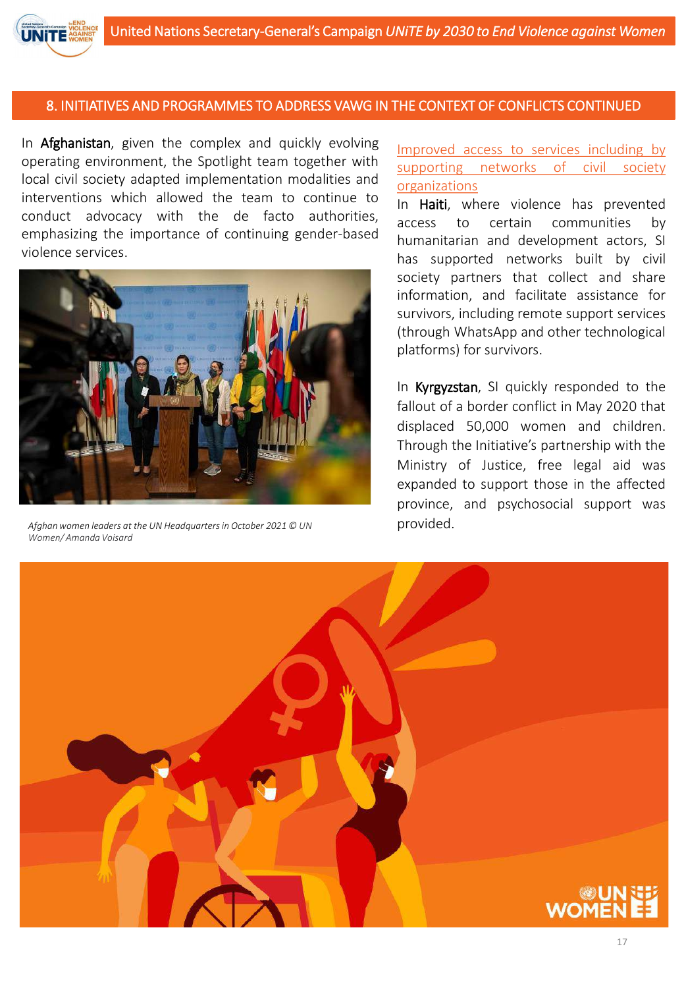

In Afghanistan, given the complex and quickly evolving operating environment, the Spotlight team together with local civil society adapted implementation modalities and interventions which allowed the team to continue to conduct advocacy with the de facto authorities, emphasizing the importance of continuing gender-based violence services.



Afghan women leaders at the UN Headquarters in October 2021 © UN **provided**. *Women/ Amanda Voisard*

Improved access to services including by supporting networks of civil society organizations

In Haiti, where violence has prevented access to certain communities by humanitarian and development actors, SI has supported networks built by civil society partners that collect and share information, and facilitate assistance for survivors, including remote support services (through WhatsApp and other technological platforms) for survivors.

In Kyrgyzstan, SI quickly responded to the fallout of a border conflict in May 2020 that displaced 50,000 women and children. Through the Initiative's partnership with the Ministry of Justice, free legal aid was expanded to support those in the affected province, and psychosocial support was

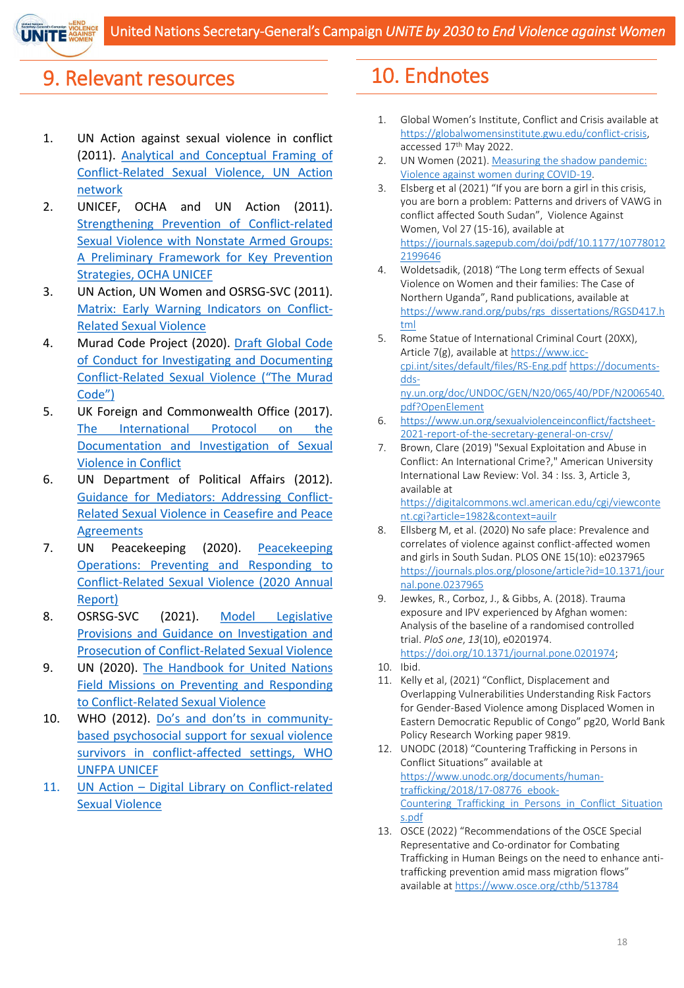

## 9. Relevant resources

- 1. UN Action against sexual violence in conflict (2011). Analytical and Conceptual Framing of [Conflict-Related](https://www.stoprapenow.org/wp-content/uploads/2020/10/Analytical-and-Conceptual-Framing-of-Conflict-Related-Sexual-Violence-UN-Action-network-2011-.pdf) Sexual Violence, UN Action network
- 2. UNICEF, OCHA and UN Action (2011). Strengthening Prevention of [Conflict-related](https://www.stoprapenow.org/wp-content/uploads/2020/10/Strengthening-Prevention-of-Conflict-related-Sexual-Violence-with-Nonstate-Armed-Groups-A-Preliminary-Framework-for-Key-Prevention-Strategies-OCHA-UNICEF-UNA008-2011-.pdf) Sexual Violence with Nonstate Armed Groups: A Preliminary Framework for Key Prevention Strategies, OCHA UNICEF
- 3. UN Action, UN Women and OSRSG-SVC (2011). Matrix: Early Warning [Indicators](https://www.stoprapenow.org/wp-content/uploads/2022/03/Matrix-Early-Warning-Indicators-of-CRSV-Online-Version.pdf) on Conflict-Related Sexual Violence
- 4. Murad Code Project (2020). Draft Global Code of Conduct for Investigating and Documenting [Conflict-Related](https://www.muradcode.com/draft-murad-code) Sexual Violence ("The Murad Code")
- 5. UK Foreign and Commonwealth Office (2017). The International Protocol on the [Documentation](https://www.un.org/sexualviolenceinconflict/wp-content/uploads/2019/06/report/international-protocol-on-the-documentation-and-investigation-of-sexual-violence-in-conflict/International_Protocol_2017_2nd_Edition.pdf) and Investigation of Sexual Violence in Conflict
- 6. UN Department of Political Affairs (2012). Guidance for Mediators: Addressing Conflict-Related Sexual Violence in Ceasefire and Peace **[Agreements](https://www.un.org/sexualviolenceinconflict/wp-content/uploads/2020/06/Background-Doc-1-DPA-Guidance-for-Mediators-on-Addressing-Conflict-Related-Sexual-Violence-in-Ceasefire-and-Peace-Agreements.pdf)**
- 7. UN Peacekeeping (2020). Peacekeeping Operations: Preventing and Responding to [Conflict-Related](https://www.stoprapenow.org/wp-content/uploads/2021/06/dpo_2020_crsv_annual_summaries_report-signed.pdf) Sexual Violence (2020 Annual Report)
- 8. OSRSG-SVC (2021). Model Legislative Provisions and Guidance on Investigation and Prosecution of [Conflict-Related](https://www.un.org/sexualviolenceinconflict/wp-content/uploads/2021/06/report/auto-draft/OSRSG-SVC-Model-Legislative-Provisions-ENG.pdf) Sexual Violence
- 9. UN (2020). The Handbook for United Nations Field Missions on Preventing and Responding to [Conflict-Related](https://www.un.org/sexualviolenceinconflict/wp-content/uploads/2020/06/2020.08-UN-CRSV-Handbook.pdf) Sexual Violence
- 10. WHO (2012). Do's and don'ts in communitybased psychosocial support for sexual violence survivors in [conflict-affected](https://www.stoprapenow.org/wp-content/uploads/2020/10/Dos-and-donts-in-community-based-psychosocial-support-for-sexual-violence-survivors-in-conflict-affected-settings-WHO-UNFPA-UNICEF-UNA015-2012.pdf) settings, WHO UNFPA UNICEF
- 11. UN Action Digital Library on [Conflict-related](https://www.stoprapenow.org/digital-library/) Sexual Violence

# 10. Endnotes

- 1. Global Women's Institute, Conflict and Crisis available at [https://globalwomensinstitute.gwu.edu/conflict-crisis,](https://globalwomensinstitute.gwu.edu/conflict-crisis) accessed 17<sup>th</sup> May 2022.
- 2. [UN Women \(2021\). Measuring the shadow pandemic:](https://data.unwomen.org/sites/default/files/documents/Publications/Measuring-shadow-pandemic.pdf) Violence against women during COVID-19.
- 3. Elsberg et al (2021) "If you are born a girl in this crisis, you are born a problem: Patterns and drivers of VAWG in conflict affected South Sudan", Violence Against Women, Vol 27 (15-16), available at [https://journals.sagepub.com/doi/pdf/10.1177/10778012](https://journals.sagepub.com/doi/pdf/10.1177/107780122199646) 2199646
- 4. Woldetsadik, (2018) "The Long term effects of Sexual Violence on Women and their families: The Case of Northern Uganda", Rand publications, available at [https://www.rand.org/pubs/rgs\\_dissertations/RGSD417.h](https://www.rand.org/pubs/rgs_dissertations/RGSD417.html) tml
- 5. Rome Statue of International Criminal Court (20XX), [Article 7\(g\), available at https://www.icc](https://www.icc-cpi.int/sites/default/files/RS-Eng.pdf)cpi.int/sites/default/files/RS-Eng.pdf https://documentsdds[ny.un.org/doc/UNDOC/GEN/N20/065/40/PDF/N2006540.](https://documents-dds-ny.un.org/doc/UNDOC/GEN/N20/065/40/PDF/N2006540.pdf?OpenElement) pdf?OpenElement
- 6. [https://www.un.org/sexualviolenceinconflict/factsheet-](https://www.un.org/sexualviolenceinconflict/factsheet-2021-report-of-the-secretary-general-on-crsv/)2021-report-of-the-secretary-general-on-crsv/
- 7. Brown, Clare (2019) "Sexual Exploitation and Abuse in Conflict: An International Crime?," American University International Law Review: Vol. 34 : Iss. 3, Article 3, available at [https://digitalcommons.wcl.american.edu/cgi/viewconte](https://digitalcommons.wcl.american.edu/cgi/viewcontent.cgi?article=1982&context=auilr) nt.cgi?article=1982&context=auilr
- 8. Ellsberg M, et al. (2020) No safe place: Prevalence and correlates of violence against conflict-affected women and girls in South Sudan. PLOS ONE 15(10): e0237965 [https://journals.plos.org/plosone/article?id=10.1371/jour](https://journals.plos.org/plosone/article?id=10.1371/journal.pone.0237965) nal.pone.0237965
- 9. Jewkes, R., Corboz, J., & Gibbs, A. (2018). Trauma exposure and IPV experienced by Afghan women: Analysis of the baseline of a randomised controlled trial. *PloS one*, *13*(10), e0201974. [https://doi.org/10.1371/journal.pone.0201974;](https://doi.org/10.1371/journal.pone.0201974)

- 11. Kelly et al, (2021) "Conflict, Displacement and Overlapping Vulnerabilities Understanding Risk Factors for Gender-Based Violence among Displaced Women in Eastern Democratic Republic of Congo" pg20, World Bank Policy Research Working paper 9819.
- 12. UNODC (2018) "Countering Trafficking in Persons in Conflict Situations" available at https://www.unodc.org/documents/humantrafficking/2018/17-08776\_ebook-Countering Trafficking in Persons in Conflict Situation s.pdf
- 13. OSCE (2022) "Recommendations of the OSCE Special Representative and Co-ordinator for Combating Trafficking in Human Beings on the need to enhance antitrafficking prevention amid mass migration flows" available at<https://www.osce.org/cthb/513784>

<sup>10.</sup> Ibid.